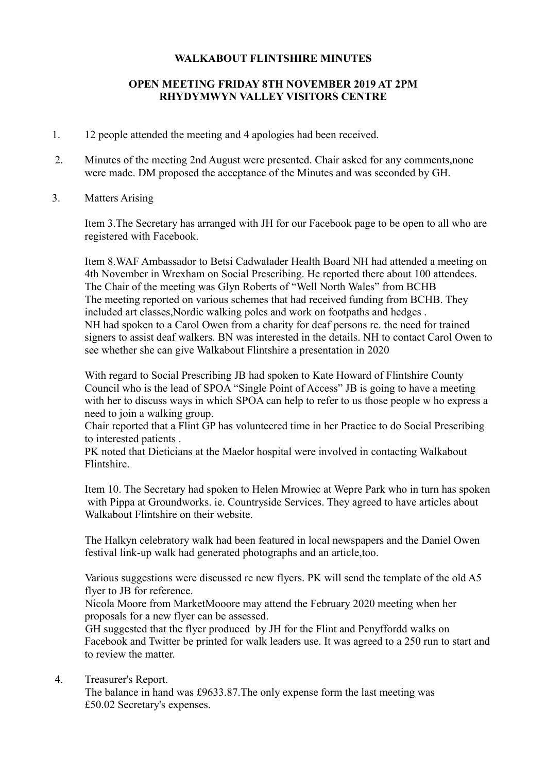## **WALKABOUT FLINTSHIRE MINUTES**

## **OPEN MEETING FRIDAY 8TH NOVEMBER 2019 AT 2PM RHYDYMWYN VALLEY VISITORS CENTRE**

- 1. 12 people attended the meeting and 4 apologies had been received.
- 2. Minutes of the meeting 2nd August were presented. Chair asked for any comments,none were made. DM proposed the acceptance of the Minutes and was seconded by GH.
- 3. Matters Arising

 Item 3.The Secretary has arranged with JH for our Facebook page to be open to all who are registered with Facebook.

 Item 8.WAF Ambassador to Betsi Cadwalader Health Board NH had attended a meeting on 4th November in Wrexham on Social Prescribing. He reported there about 100 attendees. The Chair of the meeting was Glyn Roberts of "Well North Wales" from BCHB The meeting reported on various schemes that had received funding from BCHB. They included art classes,Nordic walking poles and work on footpaths and hedges . NH had spoken to a Carol Owen from a charity for deaf persons re. the need for trained signers to assist deaf walkers. BN was interested in the details. NH to contact Carol Owen to see whether she can give Walkabout Flintshire a presentation in 2020

 With regard to Social Prescribing JB had spoken to Kate Howard of Flintshire County Council who is the lead of SPOA "Single Point of Access" JB is going to have a meeting with her to discuss ways in which SPOA can help to refer to us those people w ho express a need to join a walking group.

 Chair reported that a Flint GP has volunteered time in her Practice to do Social Prescribing to interested patients .

 PK noted that Dieticians at the Maelor hospital were involved in contacting Walkabout Flintshire.

 Item 10. The Secretary had spoken to Helen Mrowiec at Wepre Park who in turn has spoken with Pippa at Groundworks. ie. Countryside Services. They agreed to have articles about Walkabout Flintshire on their website.

The Halkyn celebratory walk had been featured in local newspapers and the Daniel Owen festival link-up walk had generated photographs and an article,too.

 Various suggestions were discussed re new flyers. PK will send the template of the old A5 flyer to JB for reference.

 Nicola Moore from MarketMooore may attend the February 2020 meeting when her proposals for a new flyer can be assessed.

 GH suggested that the flyer produced by JH for the Flint and Penyffordd walks on Facebook and Twitter be printed for walk leaders use. It was agreed to a 250 run to start and to review the matter.

4. Treasurer's Report.

 The balance in hand was £9633.87.The only expense form the last meeting was £50.02 Secretary's expenses.